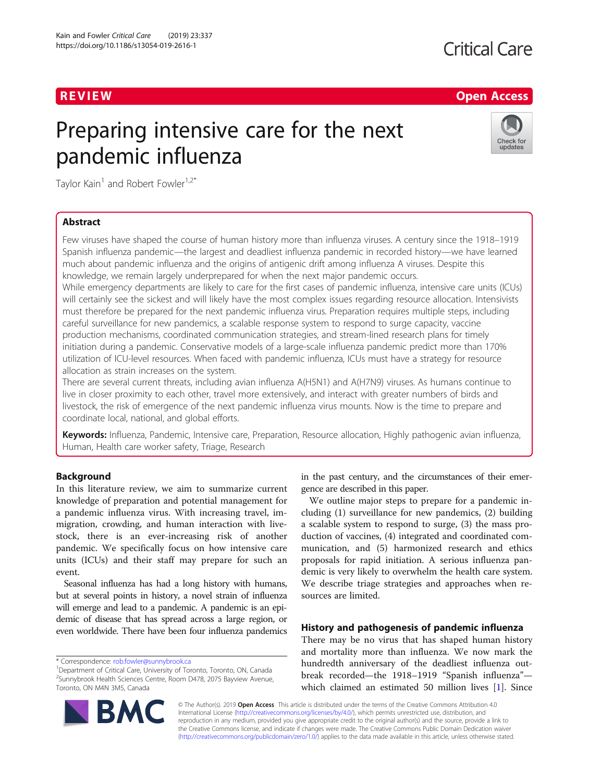## **Critical Care**

## R EVI EW Open Access

# Preparing intensive care for the next pandemic influenza



Taylor Kain<sup>1</sup> and Robert Fowler<sup>1,2\*</sup>

## Abstract

Few viruses have shaped the course of human history more than influenza viruses. A century since the 1918–1919 Spanish influenza pandemic—the largest and deadliest influenza pandemic in recorded history—we have learned much about pandemic influenza and the origins of antigenic drift among influenza A viruses. Despite this knowledge, we remain largely underprepared for when the next major pandemic occurs. While emergency departments are likely to care for the first cases of pandemic influenza, intensive care units (ICUs)

will certainly see the sickest and will likely have the most complex issues regarding resource allocation. Intensivists must therefore be prepared for the next pandemic influenza virus. Preparation requires multiple steps, including careful surveillance for new pandemics, a scalable response system to respond to surge capacity, vaccine production mechanisms, coordinated communication strategies, and stream-lined research plans for timely initiation during a pandemic. Conservative models of a large-scale influenza pandemic predict more than 170% utilization of ICU-level resources. When faced with pandemic influenza, ICUs must have a strategy for resource allocation as strain increases on the system.

There are several current threats, including avian influenza A(H5N1) and A(H7N9) viruses. As humans continue to live in closer proximity to each other, travel more extensively, and interact with greater numbers of birds and livestock, the risk of emergence of the next pandemic influenza virus mounts. Now is the time to prepare and coordinate local, national, and global efforts.

Keywords: Influenza, Pandemic, Intensive care, Preparation, Resource allocation, Highly pathogenic avian influenza, Human, Health care worker safety, Triage, Research

## **Background**

In this literature review, we aim to summarize current knowledge of preparation and potential management for a pandemic influenza virus. With increasing travel, immigration, crowding, and human interaction with livestock, there is an ever-increasing risk of another pandemic. We specifically focus on how intensive care units (ICUs) and their staff may prepare for such an event.

Seasonal influenza has had a long history with humans, but at several points in history, a novel strain of influenza will emerge and lead to a pandemic. A pandemic is an epidemic of disease that has spread across a large region, or even worldwide. There have been four influenza pandemics



We outline major steps to prepare for a pandemic including (1) surveillance for new pandemics, (2) building a scalable system to respond to surge, (3) the mass production of vaccines, (4) integrated and coordinated communication, and (5) harmonized research and ethics proposals for rapid initiation. A serious influenza pandemic is very likely to overwhelm the health care system. We describe triage strategies and approaches when resources are limited.

## History and pathogenesis of pandemic influenza

There may be no virus that has shaped human history and mortality more than influenza. We now mark the hundredth anniversary of the deadliest influenza outbreak recorded—the 1918–1919 "Spanish influenza" which claimed an estimated 50 million lives [[1\]](#page-7-0). Since

© The Author(s). 2019 **Open Access** This article is distributed under the terms of the Creative Commons Attribution 4.0 International License [\(http://creativecommons.org/licenses/by/4.0/](http://creativecommons.org/licenses/by/4.0/)), which permits unrestricted use, distribution, and reproduction in any medium, provided you give appropriate credit to the original author(s) and the source, provide a link to the Creative Commons license, and indicate if changes were made. The Creative Commons Public Domain Dedication waiver [\(http://creativecommons.org/publicdomain/zero/1.0/](http://creativecommons.org/publicdomain/zero/1.0/)) applies to the data made available in this article, unless otherwise stated.



<sup>\*</sup> Correspondence: [rob.fowler@sunnybrook.ca](mailto:rob.fowler@sunnybrook.ca) <sup>1</sup>

<sup>&</sup>lt;sup>1</sup> Department of Critical Care, University of Toronto, Toronto, ON, Canada <sup>2</sup>Sunnybrook Health Sciences Centre, Room D478, 2075 Bayview Avenue, Toronto, ON M4N 3M5, Canada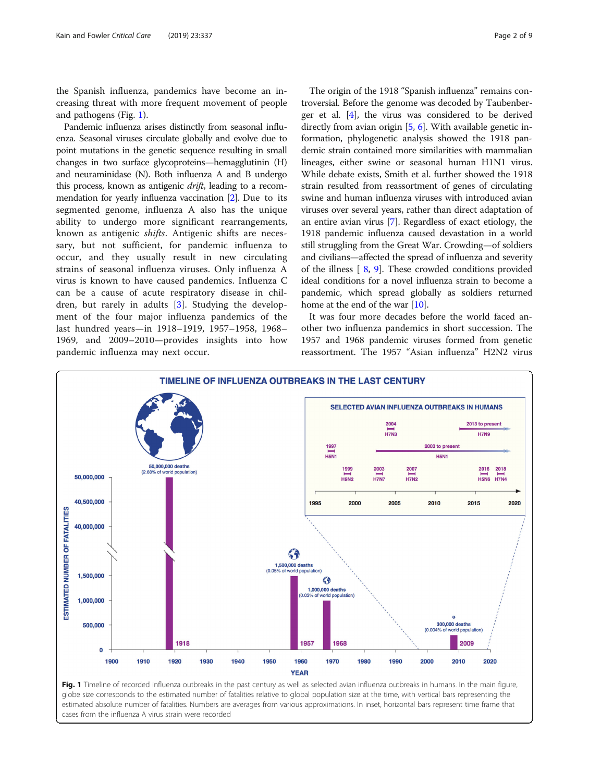<span id="page-1-0"></span>the Spanish influenza, pandemics have become an increasing threat with more frequent movement of people and pathogens (Fig. 1).

Pandemic influenza arises distinctly from seasonal influenza. Seasonal viruses circulate globally and evolve due to point mutations in the genetic sequence resulting in small changes in two surface glycoproteins—hemagglutinin (H) and neuraminidase (N). Both influenza A and B undergo this process, known as antigenic *drift*, leading to a recommendation for yearly influenza vaccination [[2](#page-7-0)]. Due to its segmented genome, influenza A also has the unique ability to undergo more significant rearrangements, known as antigenic shifts. Antigenic shifts are necessary, but not sufficient, for pandemic influenza to occur, and they usually result in new circulating strains of seasonal influenza viruses. Only influenza A virus is known to have caused pandemics. Influenza C can be a cause of acute respiratory disease in children, but rarely in adults [[3\]](#page-7-0). Studying the development of the four major influenza pandemics of the last hundred years—in 1918–1919, 1957–1958, 1968– 1969, and 2009–2010—provides insights into how pandemic influenza may next occur.

The origin of the 1918 "Spanish influenza" remains controversial. Before the genome was decoded by Taubenberger et al. [\[4\]](#page-7-0), the virus was considered to be derived directly from avian origin [[5,](#page-7-0) [6](#page-7-0)]. With available genetic information, phylogenetic analysis showed the 1918 pandemic strain contained more similarities with mammalian lineages, either swine or seasonal human H1N1 virus. While debate exists, Smith et al. further showed the 1918 strain resulted from reassortment of genes of circulating swine and human influenza viruses with introduced avian viruses over several years, rather than direct adaptation of an entire avian virus [[7](#page-7-0)]. Regardless of exact etiology, the 1918 pandemic influenza caused devastation in a world still struggling from the Great War. Crowding—of soldiers and civilians—affected the spread of influenza and severity of the illness [ [8](#page-7-0), [9](#page-7-0)]. These crowded conditions provided ideal conditions for a novel influenza strain to become a pandemic, which spread globally as soldiers returned home at the end of the war [[10](#page-7-0)].

It was four more decades before the world faced another two influenza pandemics in short succession. The 1957 and 1968 pandemic viruses formed from genetic reassortment. The 1957 "Asian influenza" H2N2 virus



globe size corresponds to the estimated number of fatalities relative to global population size at the time, with vertical bars representing the estimated absolute number of fatalities. Numbers are averages from various approximations. In inset, horizontal bars represent time frame that cases from the influenza A virus strain were recorded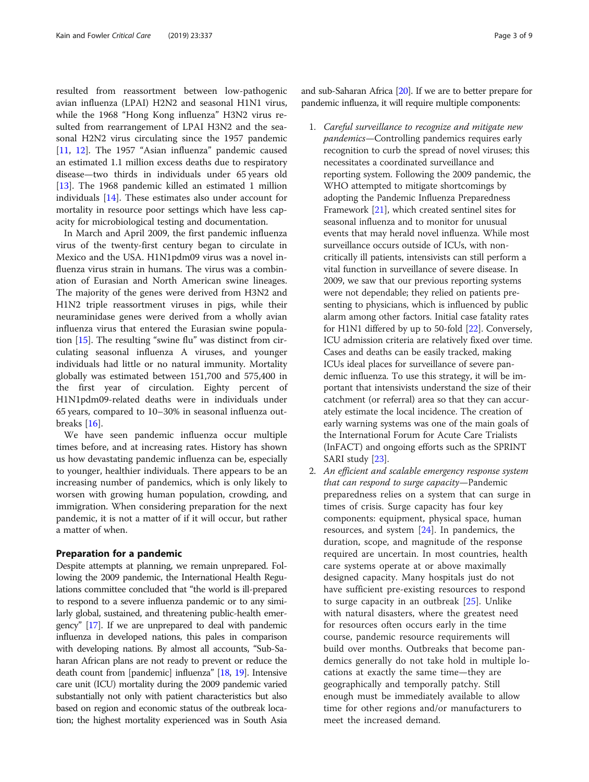resulted from reassortment between low-pathogenic avian influenza (LPAI) H2N2 and seasonal H1N1 virus, while the 1968 "Hong Kong influenza" H3N2 virus resulted from rearrangement of LPAI H3N2 and the seasonal H2N2 virus circulating since the 1957 pandemic [[11,](#page-7-0) [12](#page-7-0)]. The 1957 "Asian influenza" pandemic caused an estimated 1.1 million excess deaths due to respiratory disease—two thirds in individuals under 65 years old [[13\]](#page-7-0). The 1968 pandemic killed an estimated 1 million individuals [[14](#page-7-0)]. These estimates also under account for mortality in resource poor settings which have less capacity for microbiological testing and documentation.

In March and April 2009, the first pandemic influenza virus of the twenty-first century began to circulate in Mexico and the USA. H1N1pdm09 virus was a novel influenza virus strain in humans. The virus was a combination of Eurasian and North American swine lineages. The majority of the genes were derived from H3N2 and H1N2 triple reassortment viruses in pigs, while their neuraminidase genes were derived from a wholly avian influenza virus that entered the Eurasian swine population [\[15\]](#page-7-0). The resulting "swine flu" was distinct from circulating seasonal influenza A viruses, and younger individuals had little or no natural immunity. Mortality globally was estimated between 151,700 and 575,400 in the first year of circulation. Eighty percent of H1N1pdm09-related deaths were in individuals under 65 years, compared to 10–30% in seasonal influenza outbreaks [\[16\]](#page-7-0).

We have seen pandemic influenza occur multiple times before, and at increasing rates. History has shown us how devastating pandemic influenza can be, especially to younger, healthier individuals. There appears to be an increasing number of pandemics, which is only likely to worsen with growing human population, crowding, and immigration. When considering preparation for the next pandemic, it is not a matter of if it will occur, but rather a matter of when.

### Preparation for a pandemic

Despite attempts at planning, we remain unprepared. Following the 2009 pandemic, the International Health Regulations committee concluded that "the world is ill-prepared to respond to a severe influenza pandemic or to any similarly global, sustained, and threatening public-health emergency" [[17](#page-7-0)]. If we are unprepared to deal with pandemic influenza in developed nations, this pales in comparison with developing nations. By almost all accounts, "Sub-Saharan African plans are not ready to prevent or reduce the death count from [pandemic] influenza" [[18](#page-7-0), [19\]](#page-7-0). Intensive care unit (ICU) mortality during the 2009 pandemic varied substantially not only with patient characteristics but also based on region and economic status of the outbreak location; the highest mortality experienced was in South Asia and sub-Saharan Africa [\[20\]](#page-7-0). If we are to better prepare for pandemic influenza, it will require multiple components:

- 1. Careful surveillance to recognize and mitigate new pandemics—Controlling pandemics requires early recognition to curb the spread of novel viruses; this necessitates a coordinated surveillance and reporting system. Following the 2009 pandemic, the WHO attempted to mitigate shortcomings by adopting the Pandemic Influenza Preparedness Framework [\[21\]](#page-7-0), which created sentinel sites for seasonal influenza and to monitor for unusual events that may herald novel influenza. While most surveillance occurs outside of ICUs, with noncritically ill patients, intensivists can still perform a vital function in surveillance of severe disease. In 2009, we saw that our previous reporting systems were not dependable; they relied on patients presenting to physicians, which is influenced by public alarm among other factors. Initial case fatality rates for H1N1 differed by up to 50-fold [[22\]](#page-7-0). Conversely, ICU admission criteria are relatively fixed over time. Cases and deaths can be easily tracked, making ICUs ideal places for surveillance of severe pandemic influenza. To use this strategy, it will be important that intensivists understand the size of their catchment (or referral) area so that they can accurately estimate the local incidence. The creation of early warning systems was one of the main goals of the International Forum for Acute Care Trialists (InFACT) and ongoing efforts such as the SPRINT SARI study [[23](#page-7-0)].
- 2. An efficient and scalable emergency response system that can respond to surge capacity—Pandemic preparedness relies on a system that can surge in times of crisis. Surge capacity has four key components: equipment, physical space, human resources, and system [\[24\]](#page-7-0). In pandemics, the duration, scope, and magnitude of the response required are uncertain. In most countries, health care systems operate at or above maximally designed capacity. Many hospitals just do not have sufficient pre-existing resources to respond to surge capacity in an outbreak [\[25](#page-7-0)]. Unlike with natural disasters, where the greatest need for resources often occurs early in the time course, pandemic resource requirements will build over months. Outbreaks that become pandemics generally do not take hold in multiple locations at exactly the same time—they are geographically and temporally patchy. Still enough must be immediately available to allow time for other regions and/or manufacturers to meet the increased demand.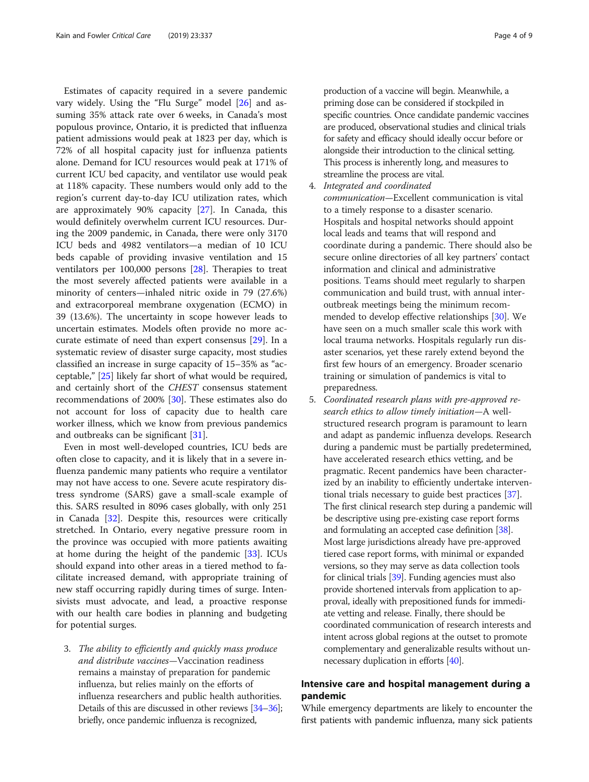Estimates of capacity required in a severe pandemic vary widely. Using the "Flu Surge" model [[26\]](#page-7-0) and assuming 35% attack rate over 6 weeks, in Canada's most populous province, Ontario, it is predicted that influenza patient admissions would peak at 1823 per day, which is 72% of all hospital capacity just for influenza patients alone. Demand for ICU resources would peak at 171% of current ICU bed capacity, and ventilator use would peak at 118% capacity. These numbers would only add to the region's current day-to-day ICU utilization rates, which are approximately 90% capacity [\[27](#page-7-0)]. In Canada, this would definitely overwhelm current ICU resources. During the 2009 pandemic, in Canada, there were only 3170 ICU beds and 4982 ventilators—a median of 10 ICU beds capable of providing invasive ventilation and 15 ventilators per 100,000 persons [[28](#page-7-0)]. Therapies to treat the most severely affected patients were available in a minority of centers—inhaled nitric oxide in 79 (27.6%) and extracorporeal membrane oxygenation (ECMO) in 39 (13.6%). The uncertainty in scope however leads to uncertain estimates. Models often provide no more accurate estimate of need than expert consensus [[29](#page-7-0)]. In a systematic review of disaster surge capacity, most studies classified an increase in surge capacity of 15–35% as "acceptable," [\[25\]](#page-7-0) likely far short of what would be required, and certainly short of the CHEST consensus statement recommendations of 200% [\[30](#page-7-0)]. These estimates also do not account for loss of capacity due to health care worker illness, which we know from previous pandemics and outbreaks can be significant [\[31\]](#page-7-0).

Even in most well-developed countries, ICU beds are often close to capacity, and it is likely that in a severe influenza pandemic many patients who require a ventilator may not have access to one. Severe acute respiratory distress syndrome (SARS) gave a small-scale example of this. SARS resulted in 8096 cases globally, with only 251 in Canada [[32\]](#page-7-0). Despite this, resources were critically stretched. In Ontario, every negative pressure room in the province was occupied with more patients awaiting at home during the height of the pandemic [\[33](#page-7-0)]. ICUs should expand into other areas in a tiered method to facilitate increased demand, with appropriate training of new staff occurring rapidly during times of surge. Intensivists must advocate, and lead, a proactive response with our health care bodies in planning and budgeting for potential surges.

3. The ability to efficiently and quickly mass produce and distribute vaccines—Vaccination readiness remains a mainstay of preparation for pandemic influenza, but relies mainly on the efforts of influenza researchers and public health authorities. Details of this are discussed in other reviews [\[34](#page-7-0)–[36\]](#page-7-0); briefly, once pandemic influenza is recognized,

production of a vaccine will begin. Meanwhile, a priming dose can be considered if stockpiled in specific countries. Once candidate pandemic vaccines are produced, observational studies and clinical trials for safety and efficacy should ideally occur before or alongside their introduction to the clinical setting. This process is inherently long, and measures to streamline the process are vital.

4. Integrated and coordinated

communication—Excellent communication is vital to a timely response to a disaster scenario. Hospitals and hospital networks should appoint local leads and teams that will respond and coordinate during a pandemic. There should also be secure online directories of all key partners' contact information and clinical and administrative positions. Teams should meet regularly to sharpen communication and build trust, with annual interoutbreak meetings being the minimum recommended to develop effective relationships [\[30\]](#page-7-0). We have seen on a much smaller scale this work with local trauma networks. Hospitals regularly run disaster scenarios, yet these rarely extend beyond the first few hours of an emergency. Broader scenario training or simulation of pandemics is vital to preparedness.

5. Coordinated research plans with pre-approved research ethics to allow timely initiation—A wellstructured research program is paramount to learn and adapt as pandemic influenza develops. Research during a pandemic must be partially predetermined, have accelerated research ethics vetting, and be pragmatic. Recent pandemics have been characterized by an inability to efficiently undertake interventional trials necessary to guide best practices [\[37\]](#page-7-0). The first clinical research step during a pandemic will be descriptive using pre-existing case report forms and formulating an accepted case definition [\[38\]](#page-7-0). Most large jurisdictions already have pre-approved tiered case report forms, with minimal or expanded versions, so they may serve as data collection tools for clinical trials [\[39\]](#page-7-0). Funding agencies must also provide shortened intervals from application to approval, ideally with prepositioned funds for immediate vetting and release. Finally, there should be coordinated communication of research interests and intent across global regions at the outset to promote complementary and generalizable results without unnecessary duplication in efforts [[40\]](#page-7-0).

## Intensive care and hospital management during a pandemic

While emergency departments are likely to encounter the first patients with pandemic influenza, many sick patients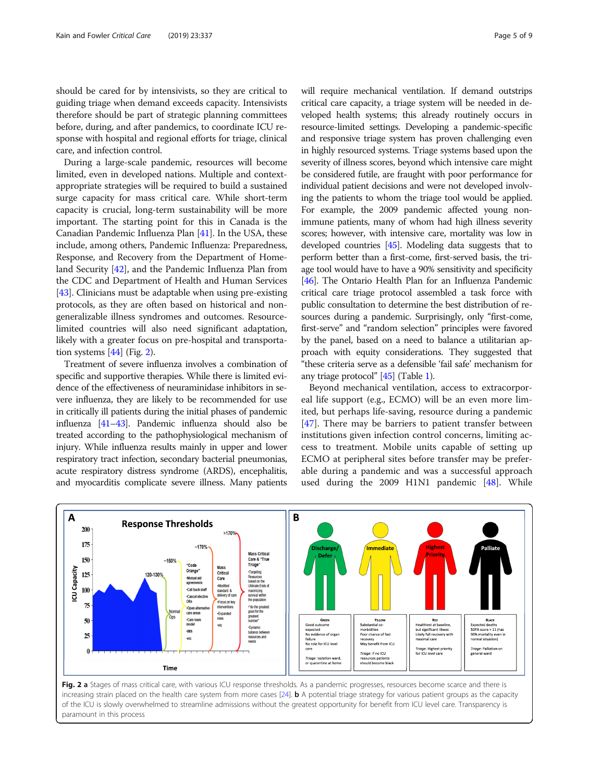should be cared for by intensivists, so they are critical to guiding triage when demand exceeds capacity. Intensivists therefore should be part of strategic planning committees before, during, and after pandemics, to coordinate ICU response with hospital and regional efforts for triage, clinical care, and infection control.

During a large-scale pandemic, resources will become limited, even in developed nations. Multiple and contextappropriate strategies will be required to build a sustained surge capacity for mass critical care. While short-term capacity is crucial, long-term sustainability will be more important. The starting point for this in Canada is the Canadian Pandemic Influenza Plan [\[41\]](#page-7-0). In the USA, these include, among others, Pandemic Influenza: Preparedness, Response, and Recovery from the Department of Homeland Security [[42](#page-7-0)], and the Pandemic Influenza Plan from the CDC and Department of Health and Human Services [[43](#page-7-0)]. Clinicians must be adaptable when using pre-existing protocols, as they are often based on historical and nongeneralizable illness syndromes and outcomes. Resourcelimited countries will also need significant adaptation, likely with a greater focus on pre-hospital and transportation systems  $[44]$  $[44]$  $[44]$  (Fig. 2).

Treatment of severe influenza involves a combination of specific and supportive therapies. While there is limited evidence of the effectiveness of neuraminidase inhibitors in severe influenza, they are likely to be recommended for use in critically ill patients during the initial phases of pandemic influenza [\[41](#page-7-0)–[43\]](#page-7-0). Pandemic influenza should also be treated according to the pathophysiological mechanism of injury. While influenza results mainly in upper and lower respiratory tract infection, secondary bacterial pneumonias, acute respiratory distress syndrome (ARDS), encephalitis, and myocarditis complicate severe illness. Many patients

will require mechanical ventilation. If demand outstrips critical care capacity, a triage system will be needed in developed health systems; this already routinely occurs in resource-limited settings. Developing a pandemic-specific and responsive triage system has proven challenging even in highly resourced systems. Triage systems based upon the severity of illness scores, beyond which intensive care might be considered futile, are fraught with poor performance for individual patient decisions and were not developed involving the patients to whom the triage tool would be applied. For example, the 2009 pandemic affected young nonimmune patients, many of whom had high illness severity scores; however, with intensive care, mortality was low in developed countries [\[45\]](#page-7-0). Modeling data suggests that to perform better than a first-come, first-served basis, the triage tool would have to have a 90% sensitivity and specificity [[46](#page-7-0)]. The Ontario Health Plan for an Influenza Pandemic critical care triage protocol assembled a task force with public consultation to determine the best distribution of resources during a pandemic. Surprisingly, only "first-come, first-serve" and "random selection" principles were favored by the panel, based on a need to balance a utilitarian approach with equity considerations. They suggested that "these criteria serve as a defensible 'fail safe' mechanism for any triage protocol" [\[45\]](#page-7-0) (Table [1\)](#page-5-0).

Beyond mechanical ventilation, access to extracorporeal life support (e.g., ECMO) will be an even more limited, but perhaps life-saving, resource during a pandemic [[47\]](#page-7-0). There may be barriers to patient transfer between institutions given infection control concerns, limiting access to treatment. Mobile units capable of setting up ECMO at peripheral sites before transfer may be preferable during a pandemic and was a successful approach used during the 2009 H1N1 pandemic [[48\]](#page-7-0). While



Fig. 2 a Stages of mass critical care, with various ICU response thresholds. As a pandemic progresses, resources become scarce and there is increasing strain placed on the health care system from more cases [\[24](#page-7-0)]. **b** A potential triage strategy for various patient groups as the capacity of the ICU is slowly overwhelmed to streamline admissions without the greatest opportunity for benefit from ICU level care. Transparency is paramount in this process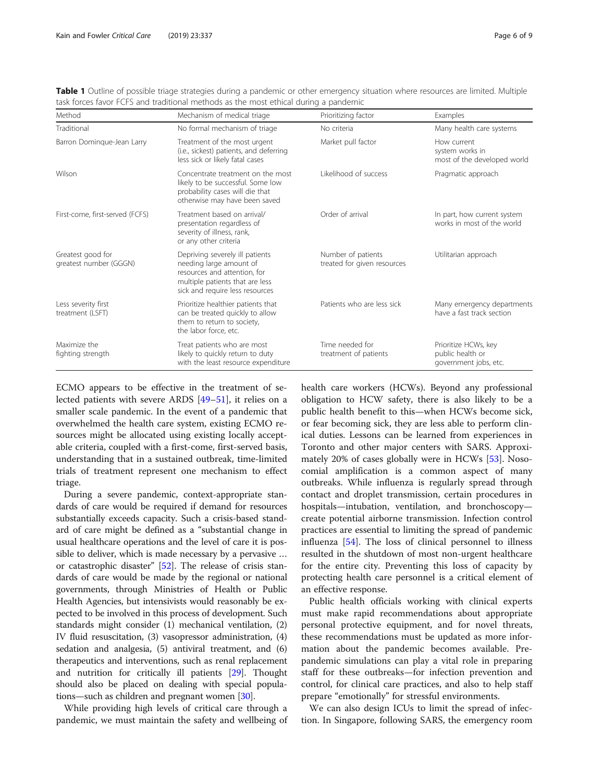| Method                                      | Mechanism of medical triage                                                                                                                                      | Prioritizing factor                               | Examples                                                          |
|---------------------------------------------|------------------------------------------------------------------------------------------------------------------------------------------------------------------|---------------------------------------------------|-------------------------------------------------------------------|
| Traditional                                 | No formal mechanism of triage                                                                                                                                    | No criteria                                       | Many health care systems                                          |
| Barron Domingue-Jean Larry                  | Treatment of the most urgent<br>(i.e., sickest) patients, and deferring<br>less sick or likely fatal cases                                                       | Market pull factor                                | How current<br>system works in<br>most of the developed world     |
| Wilson                                      | Concentrate treatment on the most<br>likely to be successful. Some low<br>probability cases will die that<br>otherwise may have been saved                       | Likelihood of success                             | Pragmatic approach                                                |
| First-come, first-served (FCFS)             | Treatment based on arrival/<br>presentation regardless of<br>severity of illness, rank,<br>or any other criteria                                                 | Order of arrival                                  | In part, how current system<br>works in most of the world         |
| Greatest good for<br>greatest number (GGGN) | Depriving severely ill patients<br>needing large amount of<br>resources and attention, for<br>multiple patients that are less<br>sick and require less resources | Number of patients<br>treated for given resources | Utilitarian approach                                              |
| Less severity first<br>treatment (LSFT)     | Prioritize healthier patients that<br>can be treated quickly to allow<br>them to return to society,<br>the labor force, etc.                                     | Patients who are less sick                        | Many emergency departments<br>have a fast track section           |
| Maximize the<br>fighting strength           | Treat patients who are most<br>likely to quickly return to duty<br>with the least resource expenditure                                                           | Time needed for<br>treatment of patients          | Prioritize HCWs, key<br>public health or<br>government jobs, etc. |

<span id="page-5-0"></span>Table 1 Outline of possible triage strategies during a pandemic or other emergency situation where resources are limited. Multiple task forces favor FCFS and traditional methods as the most ethical during a pandemic

ECMO appears to be effective in the treatment of selected patients with severe ARDS [[49](#page-7-0)–[51](#page-8-0)], it relies on a smaller scale pandemic. In the event of a pandemic that overwhelmed the health care system, existing ECMO resources might be allocated using existing locally acceptable criteria, coupled with a first-come, first-served basis, understanding that in a sustained outbreak, time-limited trials of treatment represent one mechanism to effect triage.

During a severe pandemic, context-appropriate standards of care would be required if demand for resources substantially exceeds capacity. Such a crisis-based standard of care might be defined as a "substantial change in usual healthcare operations and the level of care it is possible to deliver, which is made necessary by a pervasive … or catastrophic disaster" [\[52](#page-8-0)]. The release of crisis standards of care would be made by the regional or national governments, through Ministries of Health or Public Health Agencies, but intensivists would reasonably be expected to be involved in this process of development. Such standards might consider (1) mechanical ventilation, (2) IV fluid resuscitation, (3) vasopressor administration, (4) sedation and analgesia, (5) antiviral treatment, and (6) therapeutics and interventions, such as renal replacement and nutrition for critically ill patients [\[29\]](#page-7-0). Thought should also be placed on dealing with special populations—such as children and pregnant women [\[30](#page-7-0)].

While providing high levels of critical care through a pandemic, we must maintain the safety and wellbeing of health care workers (HCWs). Beyond any professional obligation to HCW safety, there is also likely to be a public health benefit to this—when HCWs become sick, or fear becoming sick, they are less able to perform clinical duties. Lessons can be learned from experiences in Toronto and other major centers with SARS. Approximately 20% of cases globally were in HCWs [[53\]](#page-8-0). Nosocomial amplification is a common aspect of many outbreaks. While influenza is regularly spread through contact and droplet transmission, certain procedures in hospitals—intubation, ventilation, and bronchoscopy create potential airborne transmission. Infection control practices are essential to limiting the spread of pandemic influenza [[54\]](#page-8-0). The loss of clinical personnel to illness resulted in the shutdown of most non-urgent healthcare for the entire city. Preventing this loss of capacity by protecting health care personnel is a critical element of an effective response.

Public health officials working with clinical experts must make rapid recommendations about appropriate personal protective equipment, and for novel threats, these recommendations must be updated as more information about the pandemic becomes available. Prepandemic simulations can play a vital role in preparing staff for these outbreaks—for infection prevention and control, for clinical care practices, and also to help staff prepare "emotionally" for stressful environments.

We can also design ICUs to limit the spread of infection. In Singapore, following SARS, the emergency room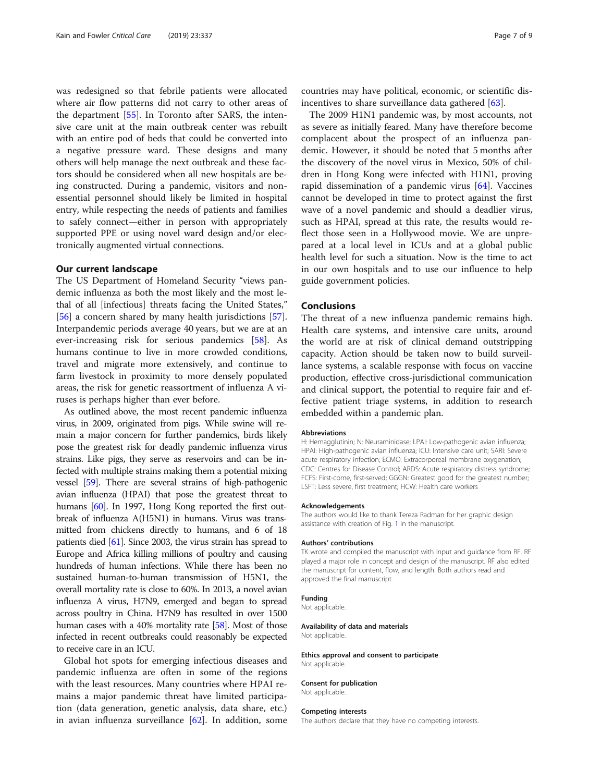was redesigned so that febrile patients were allocated where air flow patterns did not carry to other areas of the department [[55\]](#page-8-0). In Toronto after SARS, the intensive care unit at the main outbreak center was rebuilt with an entire pod of beds that could be converted into a negative pressure ward. These designs and many others will help manage the next outbreak and these factors should be considered when all new hospitals are being constructed. During a pandemic, visitors and nonessential personnel should likely be limited in hospital entry, while respecting the needs of patients and families to safely connect—either in person with appropriately supported PPE or using novel ward design and/or electronically augmented virtual connections.

## Our current landscape

The US Department of Homeland Security "views pandemic influenza as both the most likely and the most lethal of all [infectious] threats facing the United States," [[56\]](#page-8-0) a concern shared by many health jurisdictions [\[57](#page-8-0)]. Interpandemic periods average 40 years, but we are at an ever-increasing risk for serious pandemics [\[58](#page-8-0)]. As humans continue to live in more crowded conditions, travel and migrate more extensively, and continue to farm livestock in proximity to more densely populated areas, the risk for genetic reassortment of influenza A viruses is perhaps higher than ever before.

As outlined above, the most recent pandemic influenza virus, in 2009, originated from pigs. While swine will remain a major concern for further pandemics, birds likely pose the greatest risk for deadly pandemic influenza virus strains. Like pigs, they serve as reservoirs and can be infected with multiple strains making them a potential mixing vessel [\[59\]](#page-8-0). There are several strains of high-pathogenic avian influenza (HPAI) that pose the greatest threat to humans [\[60](#page-8-0)]. In 1997, Hong Kong reported the first outbreak of influenza A(H5N1) in humans. Virus was transmitted from chickens directly to humans, and 6 of 18 patients died [\[61\]](#page-8-0). Since 2003, the virus strain has spread to Europe and Africa killing millions of poultry and causing hundreds of human infections. While there has been no sustained human-to-human transmission of H5N1, the overall mortality rate is close to 60%. In 2013, a novel avian influenza A virus, H7N9, emerged and began to spread across poultry in China. H7N9 has resulted in over 1500 human cases with a 40% mortality rate [[58\]](#page-8-0). Most of those infected in recent outbreaks could reasonably be expected to receive care in an ICU.

Global hot spots for emerging infectious diseases and pandemic influenza are often in some of the regions with the least resources. Many countries where HPAI remains a major pandemic threat have limited participation (data generation, genetic analysis, data share, etc.) in avian influenza surveillance [\[62](#page-8-0)]. In addition, some

countries may have political, economic, or scientific disincentives to share surveillance data gathered [\[63](#page-8-0)].

The 2009 H1N1 pandemic was, by most accounts, not as severe as initially feared. Many have therefore become complacent about the prospect of an influenza pandemic. However, it should be noted that 5 months after the discovery of the novel virus in Mexico, 50% of children in Hong Kong were infected with H1N1, proving rapid dissemination of a pandemic virus [\[64\]](#page-8-0). Vaccines cannot be developed in time to protect against the first wave of a novel pandemic and should a deadlier virus, such as HPAI, spread at this rate, the results would reflect those seen in a Hollywood movie. We are unprepared at a local level in ICUs and at a global public health level for such a situation. Now is the time to act in our own hospitals and to use our influence to help guide government policies.

## Conclusions

The threat of a new influenza pandemic remains high. Health care systems, and intensive care units, around the world are at risk of clinical demand outstripping capacity. Action should be taken now to build surveillance systems, a scalable response with focus on vaccine production, effective cross-jurisdictional communication and clinical support, the potential to require fair and effective patient triage systems, in addition to research embedded within a pandemic plan.

#### Abbreviations

H: Hemagglutinin; N: Neuraminidase; LPAI: Low-pathogenic avian influenza; HPAI: High-pathogenic avian influenza; ICU: Intensive care unit; SARI: Severe acute respiratory infection; ECMO: Extracorporeal membrane oxygenation; CDC: Centres for Disease Control; ARDS: Acute respiratory distress syndrome; FCFS: First-come, first-served; GGGN: Greatest good for the greatest number; LSFT: Less severe, first treatment; HCW: Health care workers

#### Acknowledgements

The authors would like to thank Tereza Radman for her graphic design assistance with creation of Fig. [1](#page-1-0) in the manuscript.

#### Authors' contributions

TK wrote and compiled the manuscript with input and guidance from RF. RF played a major role in concept and design of the manuscript. RF also edited the manuscript for content, flow, and length. Both authors read and approved the final manuscript.

#### Funding

Not applicable.

#### Availability of data and materials

Not applicable.

#### Ethics approval and consent to participate Not applicable.

#### Consent for publication

Not applicable.

#### Competing interests

The authors declare that they have no competing interests.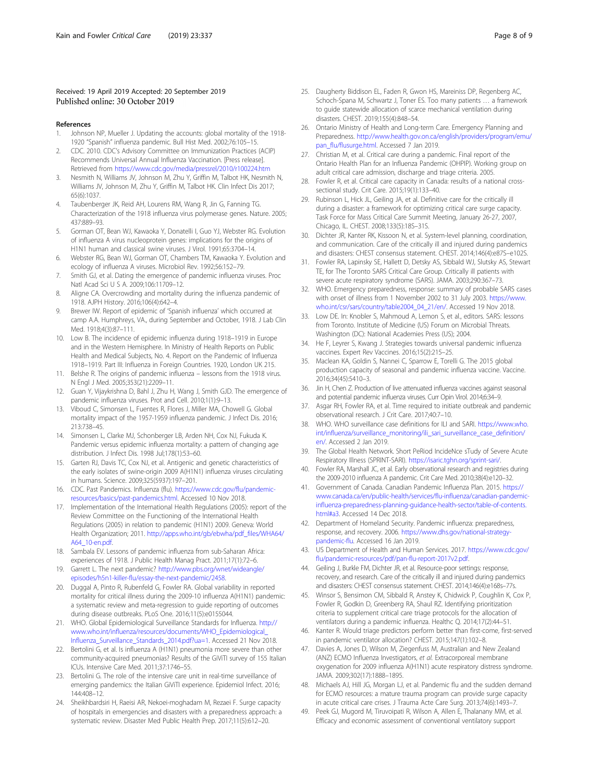### <span id="page-7-0"></span>Received: 19 April 2019 Accepted: 20 September 2019 Published online: 30 October 2019

#### References

- 1. Johnson NP, Mueller J. Updating the accounts: global mortality of the 1918- 1920 "Spanish" influenza pandemic. Bull Hist Med. 2002;76:105–15.
- 2. CDC. 2010. CDC's Advisory Committee on Immunization Practices (ACIP) Recommends Universal Annual Influenza Vaccination. [Press release]. Retrieved from <https://www.cdc.gov/media/pressrel/2010/r100224.htm>
- 3. Nesmith N, Williams JV, Johnson M, Zhu Y, Griffin M, Talbot HK, Nesmith N, Williams JV, Johnson M, Zhu Y, Griffin M, Talbot HK. Clin Infect Dis 2017; 65(6):1037.
- 4. Taubenberger JK, Reid AH, Lourens RM, Wang R, Jin G, Fanning TG. Characterization of the 1918 influenza virus polymerase genes. Nature. 2005; 437:889–93.
- 5. Gorman OT, Bean WJ, Kawaoka Y, Donatelli I, Guo YJ, Webster RG. Evolution of influenza A virus nucleoprotein genes: implications for the origins of H1N1 human and classical swine viruses. J Virol. 1991;65:3704–14.
- 6. Webster RG, Bean WJ, Gorman OT, Chambers TM, Kawaoka Y. Evolution and ecology of influenza A viruses. Microbiol Rev. 1992;56:152–79.
- 7. Smith GJ, et al. Dating the emergence of pandemic influenza viruses. Proc Natl Acad Sci U S A. 2009;106:11709–12.
- 8. Aligne CA. Overcrowding and mortality during the influenza pandemic of 1918. AJPH History. 2016;106(4):642–4.
- 9. Brewer IW. Report of epidemic of 'Spanish influenza' which occurred at camp A.A. Humphreys, VA., during September and October, 1918. J Lab Clin Med. 1918;4(3):87–111.
- 10. Low B. The incidence of epidemic influenza during 1918–1919 in Europe and in the Western Hemisphere. In Ministry of Health Reports on Public Health and Medical Subjects, No. 4. Report on the Pandemic of Influenza 1918–1919. Part III: Influenza in Foreign Countries. 1920, London UK 215.
- 11. Belshe R. The origins of pandemic influenza lessons from the 1918 virus. N Engl J Med. 2005;353(21):2209–11.
- 12. Guan Y, Vijaykrishna D, Bahl J, Zhu H, Wang J, Smith GJD. The emergence of pandemic influenza viruses. Prot and Cell. 2010;1(1):9–13.
- 13. Viboud C, Simonsen L, Fuentes R, Flores J, Miller MA, Chowell G. Global mortality impact of the 1957-1959 influenza pandemic. J Infect Dis. 2016; 213:738–45.
- 14. Simonsen L, Clarke MJ, Schonberger LB, Arden NH, Cox NJ, Fukuda K. Pandemic versus epidemic influenza mortality: a pattern of changing age distribution. J Infect Dis. 1998 Jul;178(1):53–60.
- 15. Garten RJ, Davis TC, Cox NJ, et al. Antigenic and genetic characteristics of the early isolates of swine-origin 2009 A(H1N1) influenza viruses circulating in humans. Science. 2009;325(5937):197–201.
- 16. CDC. Past Pandemics. Influenza (flu). [https://www.cdc.gov/flu/pandemic](https://www.cdc.gov/flu/pandemic-resources/basics/past-pandemics.html)[resources/basics/past-pandemics.html.](https://www.cdc.gov/flu/pandemic-resources/basics/past-pandemics.html) Accessed 10 Nov 2018.
- 17. Implementation of the International Health Regulations (2005): report of the Review Committee on the Functioning of the International Health Regulations (2005) in relation to pandemic (H1N1) 2009. Geneva: World Health Organization; 2011. [http://apps.who.int/gb/ebwha/pdf\\_files/WHA64/](http://apps.who.int/gb/ebwha/pdf_files/WHA64/A64_10-en.pdf) [A64\\_10-en.pdf](http://apps.who.int/gb/ebwha/pdf_files/WHA64/A64_10-en.pdf).
- 18. Sambala EV. Lessons of pandemic influenza from sub-Saharan Africa: experiences of 1918. J Public Health Manag Pract. 2011;17(1):72–6.
- 19. Garrett L. The next pandemic? [http://www.pbs.org/wnet/wideangle/](http://www.pbs.org/wnet/wideangle/episodes/h5n1-killer-flu/essay-the-next-pandemic/2458) [episodes/h5n1-killer-flu/essay-the-next-pandemic/2458.](http://www.pbs.org/wnet/wideangle/episodes/h5n1-killer-flu/essay-the-next-pandemic/2458)
- 20. Duggal A, Pinto R, Rubenfeld G, Fowler RA. Global variability in reported mortality for critical illness during the 2009-10 influenza A(H1N1) pandemic: a systematic review and meta-regression to guide reporting of outcomes during disease outbreaks. PLoS One. 2016;11(5):e0155044.
- 21. WHO. Global Epidemiological Surveillance Standards for Influenza. [http://](http://www.who.int/influenza/resources/documents/WHO_Epidemiological_Influenza_Surveillance_Standards_2014.pdf?ua=1) [www.who.int/influenza/resources/documents/WHO\\_Epidemiological\\_](http://www.who.int/influenza/resources/documents/WHO_Epidemiological_Influenza_Surveillance_Standards_2014.pdf?ua=1) [Influenza\\_Surveillance\\_Standards\\_2014.pdf?ua=1](http://www.who.int/influenza/resources/documents/WHO_Epidemiological_Influenza_Surveillance_Standards_2014.pdf?ua=1). Accessed 21 Nov 2018.
- 22. Bertolini G, et al. Is influenza A (H1N1) pneumonia more severe than other community-acquired pneumonias? Results of the GiViTI survey of 155 Italian ICUs. Intensive Care Med. 2011;37:1746–55.
- 23. Bertolini G. The role of the intensive care unit in real-time surveillance of emerging pandemics: the Italian GiViTI experience. Epidemiol Infect. 2016; 144:408–12.
- 24. Sheikhbardsiri H, Raeisi AR, Nekoei-moghadam M, Rezaei F. Surge capacity of hospitals in emergencies and disasters with a preparedness approach: a systematic review. Disaster Med Public Health Prep. 2017;11(5):612–20.
- 25. Daugherty Biddison EL, Faden R, Gwon HS, Mareiniss DP, Regenberg AC, Schoch-Spana M, Schwartz J, Toner ES. Too many patients … a framework to guide statewide allocation of scarce mechanical ventilation during disasters. CHEST. 2019;155(4):848–54.
- 26. Ontario Ministry of Health and Long-term Care. Emergency Planning and Preparedness. [http://www.health.gov.on.ca/english/providers/program/emu/](http://www.health.gov.on.ca/english/providers/program/emu/pan_flu/flusurge.html) [pan\\_flu/flusurge.html.](http://www.health.gov.on.ca/english/providers/program/emu/pan_flu/flusurge.html) Accessed 7 Jan 2019.
- 27. Christian M, et al. Critical care during a pandemic. Final report of the Ontario Health Plan for an Influenza Pandemic (OHPIP). Working group on adult critical care admission, discharge and triage criteria. 2005.
- 28. Fowler R, et al. Critical care capacity in Canada: results of a national crosssectional study. Crit Care. 2015;19(1):133–40.
- 29. Rubinson L, Hick JL, Geiling JA, et al. Definitive care for the critically ill during a disaster: a framework for optimizing critical care surge capacity. Task Force for Mass Critical Care Summit Meeting, January 26-27, 2007, Chicago, IL. CHEST. 2008;133(5):18S–31S.
- 30. Dichter JR, Kanter RK, Kissoon N, et al. System-level planning, coordination, and communication. Care of the critically ill and injured during pandemics and disasters: CHEST consensus statement. CHEST. 2014;146(4):e87S–e102S.
- 31. Fowler RA, Lapinsky SE, Hallett D, Detsky AS, Sibbald WJ, Slutsky AS, Stewart TE, for The Toronto SARS Critical Care Group. Critically ill patients with severe acute respiratory syndrome (SARS). JAMA. 2003;290:367–73.
- 32. WHO. Emergency preparedness, response: summary of probable SARS cases with onset of illness from 1 November 2002 to 31 July 2003. [https://www.](https://www.who.int/csr/sars/country/table2004_04_21/en/) [who.int/csr/sars/country/table2004\\_04\\_21/en/](https://www.who.int/csr/sars/country/table2004_04_21/en/). Accessed 19 Nov 2018.
- 33. Low DE. In: Knobler S, Mahmoud A, Lemon S, et al., editors. SARS: lessons from Toronto. Institute of Medicine (US) Forum on Microbial Threats. Washington (DC): National Academies Press (US); 2004.
- 34. He F, Leyrer S, Kwang J. Strategies towards universal pandemic influenza vaccines. Expert Rev Vaccines. 2016;15(2):215–25.
- 35. Maclean KA, Goldin S, Nannei C, Sparrow E, Torelli G. The 2015 global production capacity of seasonal and pandemic influenza vaccine. Vaccine. 2016;34(45):5410–3.
- 36. Jin H, Chen Z. Production of live attenuated influenza vaccines against seasonal and potential pandemic influenza viruses. Curr Opin Virol. 2014;6:34–9.
- 37. Asgar RH, Fowler RA, et al. Time required to initiate outbreak and pandemic observational research. J Crit Care. 2017;40:7–10.
- 38. WHO. WHO surveillance case definitions for ILI and SARI. [https://www.who.](https://www.who.int/influenza/surveillance_monitoring/ili_sari_surveillance_case_definition/en/) [int/influenza/surveillance\\_monitoring/ili\\_sari\\_surveillance\\_case\\_definition/](https://www.who.int/influenza/surveillance_monitoring/ili_sari_surveillance_case_definition/en/) [en/](https://www.who.int/influenza/surveillance_monitoring/ili_sari_surveillance_case_definition/en/). Accessed 2 Jan 2019.
- 39. The Global Health Network. Short PeRiod IncideNce sTudy of Severe Acute Respiratory Illness (SPRINT-SARI). [https://isaric.tghn.org/sprint-sari/.](https://isaric.tghn.org/sprint-sari/)
- 40. Fowler RA, Marshall JC, et al. Early observational research and registries during the 2009-2010 influenza A pandemic. Crit Care Med. 2010;38(4):e120–32.
- 41. Government of Canada. Canadian Pandemic Influenza Plan. 2015. [https://](https://www.canada.ca/en/public-health/services/flu-influenza/canadian-pandemic-influenza-preparedness-planning-guidance-health-sector/table-of-contents.html#a3) [www.canada.ca/en/public-health/services/flu-influenza/canadian-pandemic](https://www.canada.ca/en/public-health/services/flu-influenza/canadian-pandemic-influenza-preparedness-planning-guidance-health-sector/table-of-contents.html#a3)[influenza-preparedness-planning-guidance-health-sector/table-of-contents.](https://www.canada.ca/en/public-health/services/flu-influenza/canadian-pandemic-influenza-preparedness-planning-guidance-health-sector/table-of-contents.html#a3) [html#a3.](https://www.canada.ca/en/public-health/services/flu-influenza/canadian-pandemic-influenza-preparedness-planning-guidance-health-sector/table-of-contents.html#a3) Accessed 14 Dec 2018.
- 42. Department of Homeland Security. Pandemic influenza: preparedness, response, and recovery. 2006. [https://www.dhs.gov/national-strategy](https://www.dhs.gov/national-strategy-pandemic-flu)[pandemic-flu](https://www.dhs.gov/national-strategy-pandemic-flu). Accessed 16 Jan 2019.
- 43. US Department of Health and Human Services. 2017. [https://www.cdc.gov/](https://www.cdc.gov/flu/pandemic-resources/pdf/pan-flu-report-2017v2.pdf) [flu/pandemic-resources/pdf/pan-flu-report-2017v2.pdf](https://www.cdc.gov/flu/pandemic-resources/pdf/pan-flu-report-2017v2.pdf).
- 44. Geiling J, Burkle FM, Dichter JR, et al. Resource-poor settings: response, recovery, and research. Care of the critically ill and injured during pandemics and disasters: CHEST consensus statement. CHEST. 2014;146(4):e168s–77s.
- 45. Winsor S, Bensimon CM, Sibbald R, Anstey K, Chidwick P, Coughlin K, Cox P, Fowler R, Godkin D, Greenberg RA, Shaul RZ. Identifying prioritization criteria to supplement critical care triage protocols for the allocation of ventilators during a pandemic influenza. Healthc Q. 2014;17(2):44–51.
- 46. Kanter R. Would triage predictors perform better than first-come, first-served in pandemic ventilator allocation? CHEST. 2015;147(1):102–8.
- 47. Davies A, Jones D, Wilson M, Ziegenfuss M, Australian and New Zealand (ANZ) ECMO Influenza Investigators, et al. Extracorporeal membrane oxygenation for 2009 influenza A(H1N1) acute respiratory distress syndrome. JAMA. 2009;302(17):1888–1895.
- 48. Michaels AJ, Hill JG, Morgan LJ, et al. Pandemic flu and the sudden demand for ECMO resources: a mature trauma program can provide surge capacity in acute critical care crises. J Trauma Acte Care Surg. 2013;74(6):1493–7.
- 49. Peek GJ, Mugord M, Tiruvoipati R, Wilson A, Allen E, Thalanany MM, et al. Efficacy and economic assessment of conventional ventilatory support